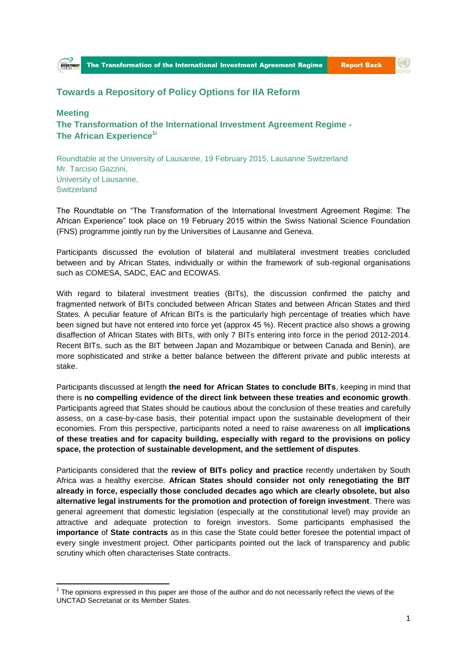

## **Report Back**

 $\left( 0\right)$ 

## **Towards a Repository of Policy Options for IIA Reform**

## **Meeting The Transformation of the International Investment Agreement Regime - The African Experience1i**

Roundtable at the University of Lausanne, 19 February 2015, Lausanne Switzerland Mr. Tarcisio Gazzini, University of Lausanne, **Switzerland** 

The Roundtable on "The Transformation of the International Investment Agreement Regime: The African Experience" took place on 19 February 2015 within the Swiss National Science Foundation (FNS) programme jointly run by the Universities of Lausanne and Geneva.

Participants discussed the evolution of bilateral and multilateral investment treaties concluded between and by African States, individually or within the framework of sub-regional organisations such as COMESA, SADC, EAC and ECOWAS.

With regard to bilateral investment treaties (BITs), the discussion confirmed the patchy and fragmented network of BITs concluded between African States and between African States and third States. A peculiar feature of African BITs is the particularly high percentage of treaties which have been signed but have not entered into force yet (approx 45 %). Recent practice also shows a growing disaffection of African States with BITs, with only 7 BITs entering into force in the period 2012-2014. Recent BITs, such as the BIT between Japan and Mozambique or between Canada and Benin), are more sophisticated and strike a better balance between the different private and public interests at stake.

Participants discussed at length **the need for African States to conclude BITs**, keeping in mind that there is **no compelling evidence of the direct link between these treaties and economic growth**. Participants agreed that States should be cautious about the conclusion of these treaties and carefully assess, on a case-by-case basis, their potential impact upon the sustainable development of their economies. From this perspective, participants noted a need to raise awareness on all **implications of these treaties and for capacity building, especially with regard to the provisions on policy space, the protection of sustainable development, and the settlement of disputes**.

Participants considered that the **review of BITs policy and practice** recently undertaken by South Africa was a healthy exercise. **African States should consider not only renegotiating the BIT already in force, especially those concluded decades ago which are clearly obsolete, but also alternative legal instruments for the promotion and protection of foreign investment**. There was general agreement that domestic legislation (especially at the constitutional level) may provide an attractive and adequate protection to foreign investors. Some participants emphasised the **importance** of **State contracts** as in this case the State could better foresee the potential impact of every single investment project. Other participants pointed out the lack of transparency and public scrutiny which often characterises State contracts.

**.** 

 $1$  The opinions expressed in this paper are those of the author and do not necessarily reflect the views of the UNCTAD Secretariat or its Member States.